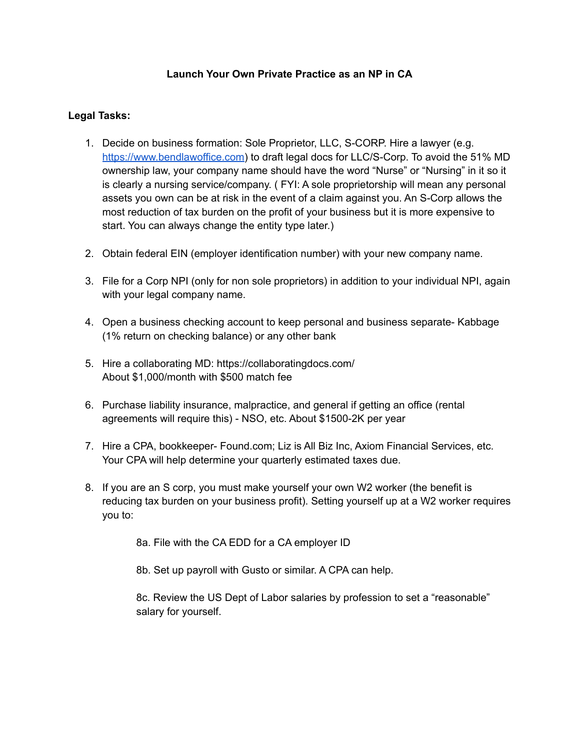# **Launch Your Own Private Practice as an NP in CA**

# **Legal Tasks:**

- 1. Decide on business formation: Sole Proprietor, LLC, S-CORP. Hire a lawyer (e.g. https://www.bendlawoffice.com) to draft legal docs for LLC/S-Corp. To avoid the 51% MD ownership law, your company name should have the word "Nurse" or "Nursing" in it so it is clearly a nursing service/company. ( FYI: A sole proprietorship will mean any personal assets you own can be at risk in the event of a claim against you. An S-Corp allows the most reduction of tax burden on the profit of your business but it is more expensive to start. You can always change the entity type later.)
- 2. Obtain federal EIN (employer identification number) with your new company name.
- 3. File for a Corp NPI (only for non sole proprietors) in addition to your individual NPI, again with your legal company name.
- 4. Open a business checking account to keep personal and business separate- Kabbage (1% return on checking balance) or any other bank
- 5. Hire a collaborating MD: https://collaboratingdocs.com/ About \$1,000/month with \$500 match fee
- 6. Purchase liability insurance, malpractice, and general if getting an office (rental agreements will require this) - NSO, etc. About \$1500-2K per year
- 7. Hire a CPA, bookkeeper- Found.com; Liz is All Biz Inc, Axiom Financial Services, etc. Your CPA will help determine your quarterly estimated taxes due.
- 8. If you are an S corp, you must make yourself your own W2 worker (the benefit is reducing tax burden on your business profit). Setting yourself up at a W2 worker requires you to:

8a. File with the CA EDD for a CA employer ID

8b. Set up payroll with Gusto or similar. A CPA can help.

8c. Review the US Dept of Labor salaries by profession to set a "reasonable" salary for yourself.